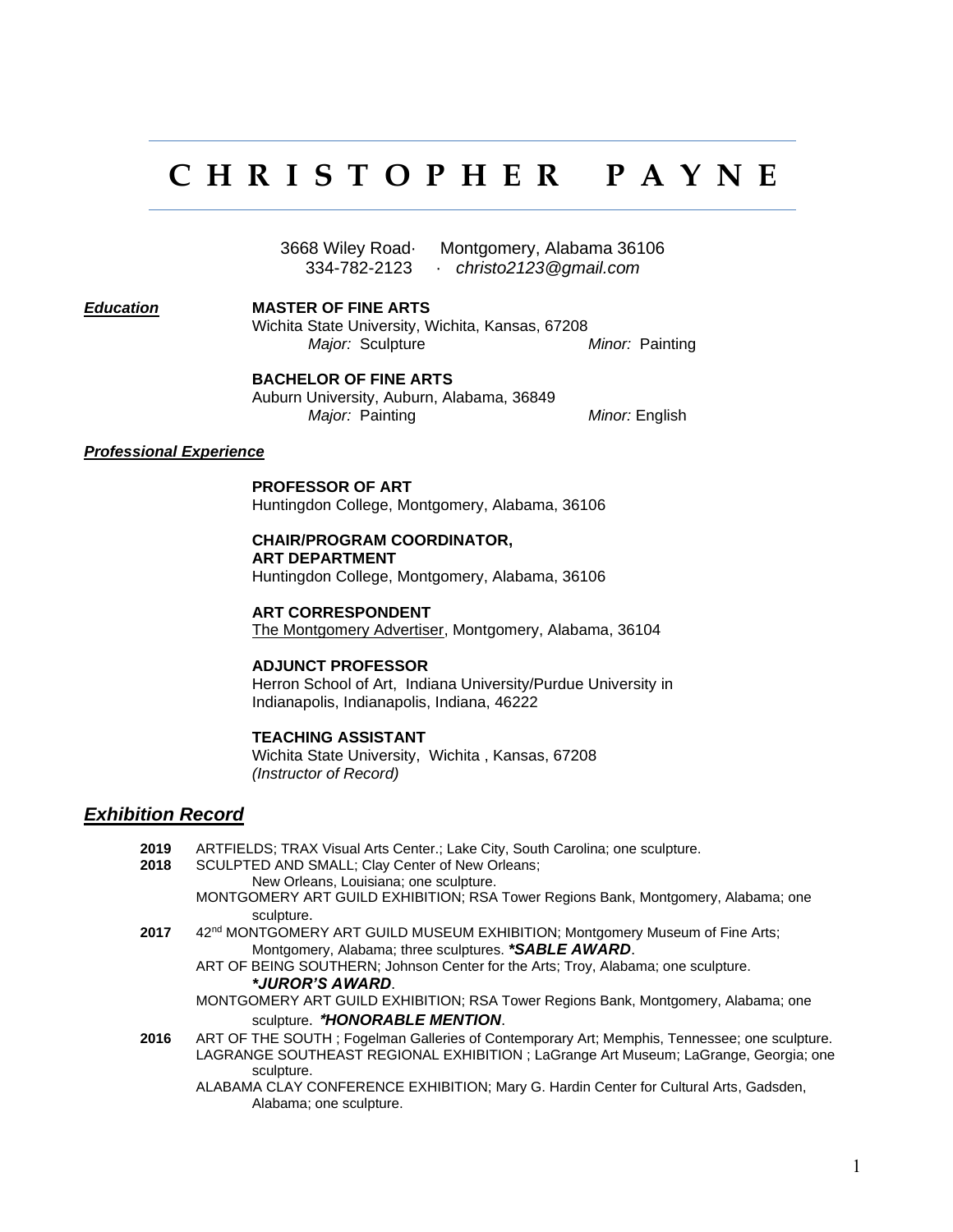# **C H R I S T O P H E R P A Y N E**

3668 Wiley Road· Montgomery, Alabama 36106 334-782-2123 · *christo2123@gmail.com*

*Education* **MASTER OF FINE ARTS**

Wichita State University, Wichita, Kansas, 67208 *Major:* Sculpture *Minor:* Painting

#### **BACHELOR OF FINE ARTS**

Auburn University, Auburn, Alabama, 36849 *Major:* Painting *Minor:* English

#### *Professional Experience*

#### **PROFESSOR OF ART**

Huntingdon College, Montgomery, Alabama, 36106

#### **CHAIR/PROGRAM COORDINATOR,**

**ART DEPARTMENT**

Huntingdon College, Montgomery, Alabama, 36106

**ART CORRESPONDENT** The Montgomery Advertiser, Montgomery, Alabama, 36104

#### **ADJUNCT PROFESSOR**

Herron School of Art, Indiana University/Purdue University in Indianapolis, Indianapolis, Indiana, 46222

#### **TEACHING ASSISTANT**

Wichita State University, Wichita , Kansas, 67208 *(Instructor of Record)*

#### *Exhibition Record*

**2019** ARTFIELDS; TRAX Visual Arts Center.; Lake City, South Carolina; one sculpture. **2018** SCULPTED AND SMALL; Clay Center of New Orleans; New Orleans, Louisiana; one sculpture. MONTGOMERY ART GUILD EXHIBITION; RSA Tower Regions Bank, Montgomery, Alabama; one sculpture. **2017** 42 42<sup>nd</sup> MONTGOMERY ART GUILD MUSEUM EXHIBITION; Montgomery Museum of Fine Arts; Montgomery, Alabama; three sculptures. *\*SABLE AWARD*. ART OF BEING SOUTHERN; Johnson Center for the Arts; Troy, Alabama; one sculpture. *\*JUROR'S AWARD*. MONTGOMERY ART GUILD EXHIBITION; RSA Tower Regions Bank, Montgomery, Alabama; one sculpture. \**HONORABLE MENTION*. **2016** ART OF THE SOUTH ; Fogelman Galleries of Contemporary Art; Memphis, Tennessee; one sculpture. LAGRANGE SOUTHEAST REGIONAL EXHIBITION ; LaGrange Art Museum; LaGrange, Georgia; one sculpture. ALABAMA CLAY CONFERENCE EXHIBITION; Mary G. Hardin Center for Cultural Arts, Gadsden, Alabama; one sculpture.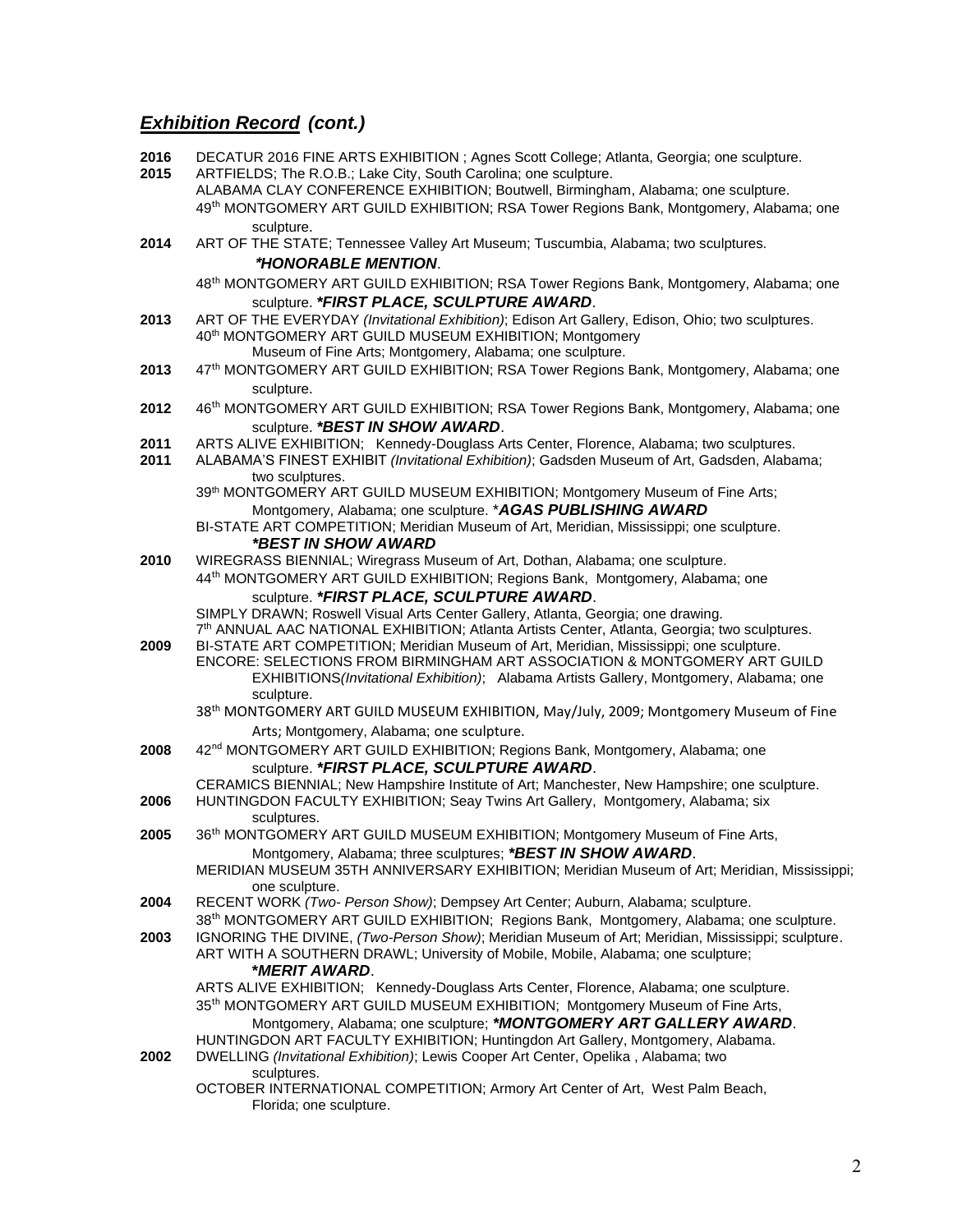**2016** DECATUR 2016 FINE ARTS EXHIBITION ; Agnes Scott College; Atlanta, Georgia; one sculpture. **2015** ARTFIELDS; The R.O.B.; Lake City, South Carolina; one sculpture. ALABAMA CLAY CONFERENCE EXHIBITION; Boutwell, Birmingham, Alabama; one sculpture. 49th MONTGOMERY ART GUILD EXHIBITION; RSA Tower Regions Bank, Montgomery, Alabama; one sculpture. **2014** ART OF THE STATE; Tennessee Valley Art Museum; Tuscumbia, Alabama; two sculptures. \**HONORABLE MENTION*. 48 th MONTGOMERY ART GUILD EXHIBITION; RSA Tower Regions Bank, Montgomery, Alabama; one sculpture. *\*FIRST PLACE, SCULPTURE AWARD*. **2013** ART OF THE EVERYDAY *(Invitational Exhibition)*; Edison Art Gallery, Edison, Ohio; two sculptures. 40th MONTGOMERY ART GUILD MUSEUM EXHIBITION; Montgomery Museum of Fine Arts; Montgomery, Alabama; one sculpture. **2013** 47th MONTGOMERY ART GUILD EXHIBITION; RSA Tower Regions Bank, Montgomery, Alabama; one sculpture. **2012** 46th MONTGOMERY ART GUILD EXHIBITION; RSA Tower Regions Bank, Montgomery, Alabama; one sculpture. *\*BEST IN SHOW AWARD*. **2011** ARTS ALIVE EXHIBITION; Kennedy-Douglass Arts Center, Florence, Alabama; two sculptures. **2011** ALABAMA'S FINEST EXHIBIT *(Invitational Exhibition)*; Gadsden Museum of Art, Gadsden, Alabama; two sculptures. 39<sup>th</sup> MONTGOMERY ART GUILD MUSEUM EXHIBITION; Montgomery Museum of Fine Arts; Montgomery, Alabama; one sculpture. \**AGAS PUBLISHING AWARD* BI-STATE ART COMPETITION; Meridian Museum of Art, Meridian, Mississippi; one sculpture. *\*BEST IN SHOW AWARD* **2010** WIREGRASS BIENNIAL; Wiregrass Museum of Art, Dothan, Alabama; one sculpture. 44th MONTGOMERY ART GUILD EXHIBITION; Regions Bank, Montgomery, Alabama; one sculpture. *\*FIRST PLACE, SCULPTURE AWARD*. SIMPLY DRAWN; Roswell Visual Arts Center Gallery, Atlanta, Georgia; one drawing. 7 th ANNUAL AAC NATIONAL EXHIBITION; Atlanta Artists Center, Atlanta, Georgia; two sculptures. **2009** BI-STATE ART COMPETITION; Meridian Museum of Art, Meridian, Mississippi; one sculpture. ENCORE: SELECTIONS FROM BIRMINGHAM ART ASSOCIATION & MONTGOMERY ART GUILD EXHIBITIONS*(Invitational Exhibition)*; Alabama Artists Gallery, Montgomery, Alabama; one sculpture. 38<sup>th</sup> MONTGOMERY ART GUILD MUSEUM EXHIBITION, May/July, 2009; Montgomery Museum of Fine Arts: Montgomery, Alabama; one sculpture. **2008** 42nd MONTGOMERY ART GUILD EXHIBITION; Regions Bank, Montgomery, Alabama; one sculpture. *\*FIRST PLACE, SCULPTURE AWARD*. CERAMICS BIENNIAL; New Hampshire Institute of Art; Manchester, New Hampshire; one sculpture. **2006** HUNTINGDON FACULTY EXHIBITION; Seay Twins Art Gallery, Montgomery, Alabama; six sculptures. **2005** 36th MONTGOMERY ART GUILD MUSEUM EXHIBITION; Montgomery Museum of Fine Arts, Montgomery, Alabama; three sculptures; *\*BEST IN SHOW AWARD*. MERIDIAN MUSEUM 35TH ANNIVERSARY EXHIBITION; Meridian Museum of Art; Meridian, Mississippi; one sculpture. **2004** RECENT WORK *(Two- Person Show)*; Dempsey Art Center; Auburn, Alabama; sculpture. 38th MONTGOMERY ART GUILD EXHIBITION; Regions Bank, Montgomery, Alabama; one sculpture. **2003** IGNORING THE DIVINE, *(Two-Person Show)*; Meridian Museum of Art; Meridian, Mississippi; sculpture. ART WITH A SOUTHERN DRAWL; University of Mobile, Mobile, Alabama; one sculpture; **\****MERIT AWARD*. ARTS ALIVE EXHIBITION; Kennedy-Douglass Arts Center, Florence, Alabama; one sculpture. 35<sup>th</sup> MONTGOMERY ART GUILD MUSEUM EXHIBITION; Montgomery Museum of Fine Arts, Montgomery, Alabama; one sculpture; *\*MONTGOMERY ART GALLERY AWARD*. HUNTINGDON ART FACULTY EXHIBITION; Huntingdon Art Gallery, Montgomery, Alabama. **2002** DWELLING *(Invitational Exhibition)*; Lewis Cooper Art Center, Opelika , Alabama; two sculptures. OCTOBER INTERNATIONAL COMPETITION; Armory Art Center of Art, West Palm Beach, Florida; one sculpture.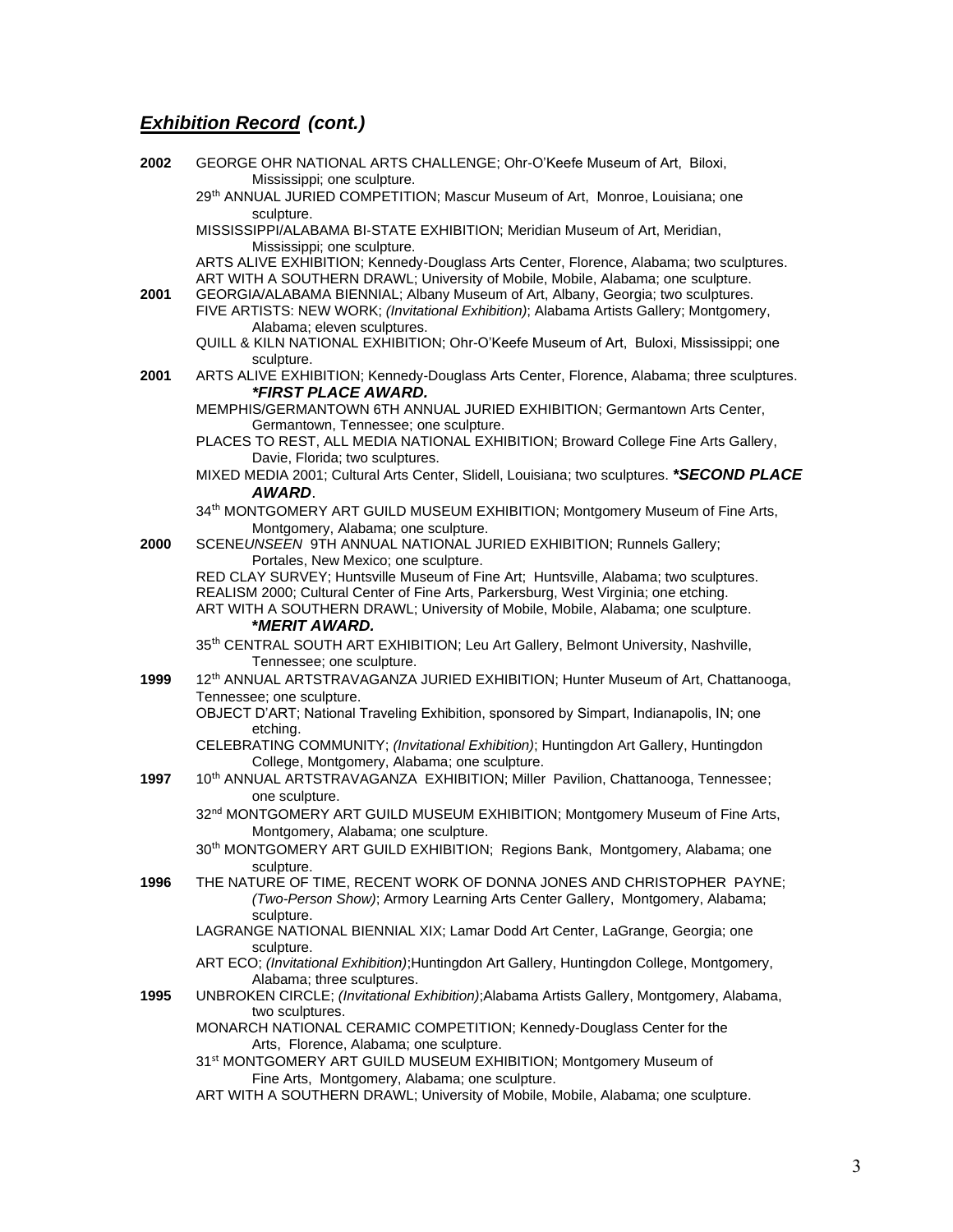| 2002 | GEORGE OHR NATIONAL ARTS CHALLENGE; Ohr-O'Keefe Museum of Art, Biloxi,                                                                                                      |
|------|-----------------------------------------------------------------------------------------------------------------------------------------------------------------------------|
|      | Mississippi; one sculpture.<br>29 <sup>th</sup> ANNUAL JURIED COMPETITION; Mascur Museum of Art, Monroe, Louisiana; one                                                     |
|      | sculpture.<br>MISSISSIPPI/ALABAMA BI-STATE EXHIBITION; Meridian Museum of Art, Meridian,                                                                                    |
|      | Mississippi; one sculpture.<br>ARTS ALIVE EXHIBITION; Kennedy-Douglass Arts Center, Florence, Alabama; two sculptures.                                                      |
|      | ART WITH A SOUTHERN DRAWL; University of Mobile, Mobile, Alabama; one sculpture.                                                                                            |
| 2001 | GEORGIA/ALABAMA BIENNIAL; Albany Museum of Art, Albany, Georgia; two sculptures.<br>FIVE ARTISTS: NEW WORK; (Invitational Exhibition); Alabama Artists Gallery; Montgomery, |
|      | Alabama; eleven sculptures.<br>QUILL & KILN NATIONAL EXHIBITION; Ohr-O'Keefe Museum of Art, Buloxi, Mississippi; one<br>sculpture.                                          |
| 2001 | ARTS ALIVE EXHIBITION; Kennedy-Douglass Arts Center, Florence, Alabama; three sculptures.<br>*FIRST PLACE AWARD.                                                            |
|      | MEMPHIS/GERMANTOWN 6TH ANNUAL JURIED EXHIBITION; Germantown Arts Center,<br>Germantown, Tennessee; one sculpture.                                                           |
|      | PLACES TO REST, ALL MEDIA NATIONAL EXHIBITION; Broward College Fine Arts Gallery,<br>Davie, Florida; two sculptures.                                                        |
|      | MIXED MEDIA 2001; Cultural Arts Center, Slidell, Louisiana; two sculptures. *SECOND PLACE<br>AWARD.                                                                         |
|      | 34 <sup>th</sup> MONTGOMERY ART GUILD MUSEUM EXHIBITION; Montgomery Museum of Fine Arts,<br>Montgomery, Alabama; one sculpture.                                             |
| 2000 | SCENEUNSEEN 9TH ANNUAL NATIONAL JURIED EXHIBITION; Runnels Gallery;<br>Portales, New Mexico; one sculpture.                                                                 |
|      | RED CLAY SURVEY; Huntsville Museum of Fine Art; Huntsville, Alabama; two sculptures.                                                                                        |
|      | REALISM 2000; Cultural Center of Fine Arts, Parkersburg, West Virginia; one etching.<br>ART WITH A SOUTHERN DRAWL; University of Mobile, Mobile, Alabama; one sculpture.    |
|      | *MERIT AWARD.                                                                                                                                                               |
|      | 35 <sup>th</sup> CENTRAL SOUTH ART EXHIBITION; Leu Art Gallery, Belmont University, Nashville,<br>Tennessee; one sculpture.                                                 |
| 1999 | 12 <sup>th</sup> ANNUAL ARTSTRAVAGANZA JURIED EXHIBITION; Hunter Museum of Art, Chattanooga,                                                                                |
|      | Tennessee; one sculpture.<br>OBJECT D'ART; National Traveling Exhibition, sponsored by Simpart, Indianapolis, IN; one<br>etching.                                           |
|      | CELEBRATING COMMUNITY; (Invitational Exhibition); Huntingdon Art Gallery, Huntingdon<br>College, Montgomery, Alabama; one sculpture.                                        |
| 1997 | 10 <sup>th</sup> ANNUAL ARTSTRAVAGANZA EXHIBITION; Miller Pavilion, Chattanooga, Tennessee;<br>one sculpture.                                                               |
|      | 32 <sup>nd</sup> MONTGOMERY ART GUILD MUSEUM EXHIBITION; Montgomery Museum of Fine Arts,<br>Montgomery, Alabama; one sculpture.                                             |
|      | 30 <sup>th</sup> MONTGOMERY ART GUILD EXHIBITION; Regions Bank, Montgomery, Alabama; one<br>sculpture.                                                                      |
| 1996 | THE NATURE OF TIME, RECENT WORK OF DONNA JONES AND CHRISTOPHER PAYNE;<br>(Two-Person Show); Armory Learning Arts Center Gallery, Montgomery, Alabama;<br>sculpture.         |
|      | LAGRANGE NATIONAL BIENNIAL XIX; Lamar Dodd Art Center, LaGrange, Georgia; one<br>sculpture.                                                                                 |
|      | ART ECO; (Invitational Exhibition); Huntingdon Art Gallery, Huntingdon College, Montgomery,<br>Alabama; three sculptures.                                                   |
| 1995 | UNBROKEN CIRCLE; (Invitational Exhibition); Alabama Artists Gallery, Montgomery, Alabama,                                                                                   |
|      | two sculptures.<br>MONARCH NATIONAL CERAMIC COMPETITION; Kennedy-Douglass Center for the<br>Arts, Florence, Alabama; one sculpture.                                         |
|      | 31st MONTGOMERY ART GUILD MUSEUM EXHIBITION; Montgomery Museum of<br>Fine Arts, Montgomery, Alabama; one sculpture.                                                         |
|      | ART WITH A SOUTHERN DRAWL; University of Mobile, Mobile, Alabama; one sculpture.                                                                                            |
|      |                                                                                                                                                                             |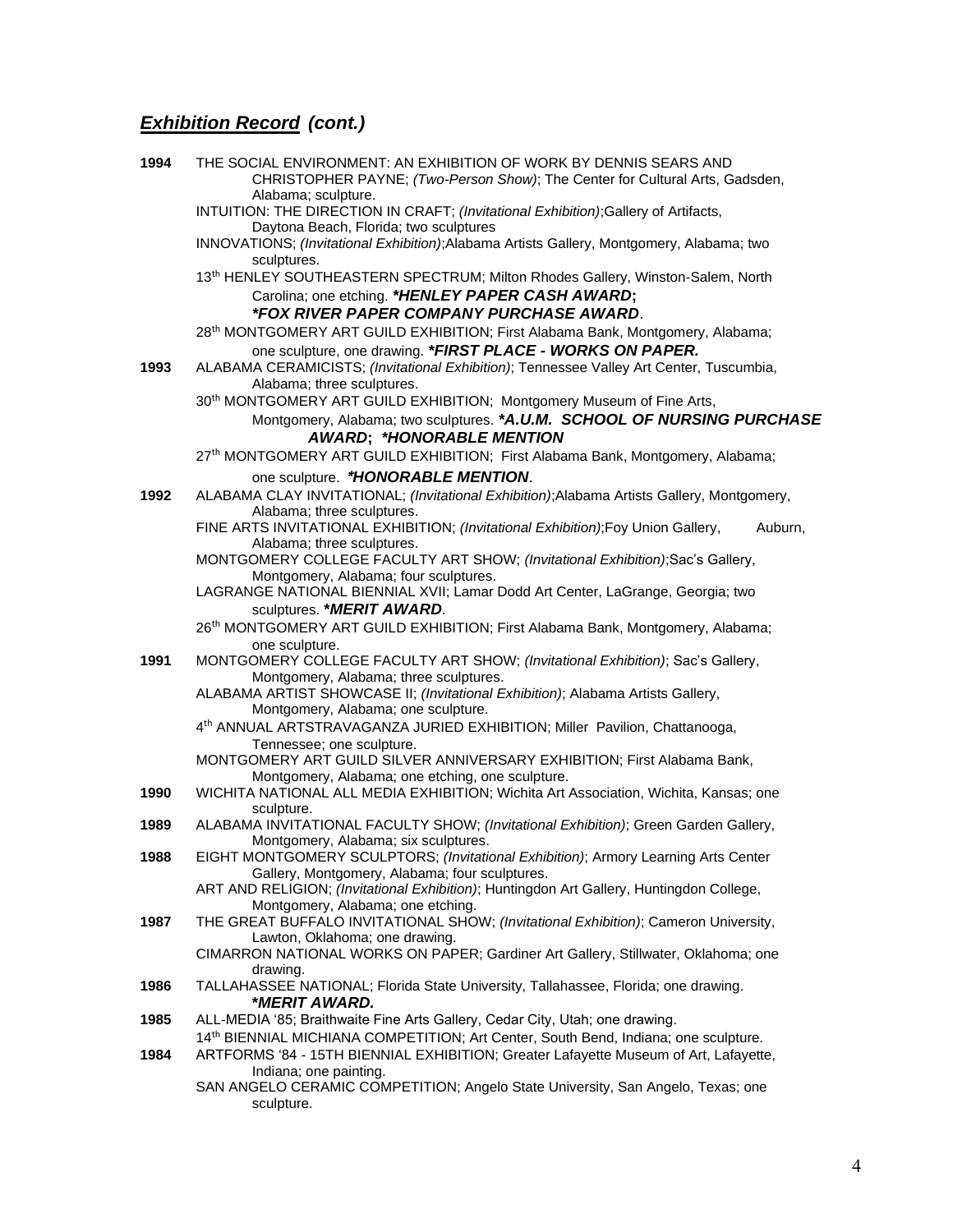| 1994 | THE SOCIAL ENVIRONMENT: AN EXHIBITION OF WORK BY DENNIS SEARS AND<br>CHRISTOPHER PAYNE; (Two-Person Show); The Center for Cultural Arts, Gadsden,  |
|------|----------------------------------------------------------------------------------------------------------------------------------------------------|
|      | Alabama; sculpture.<br>INTUITION: THE DIRECTION IN CRAFT; (Invitational Exhibition); Gallery of Artifacts,                                         |
|      | Daytona Beach, Florida; two sculptures<br>INNOVATIONS; (Invitational Exhibition); Alabama Artists Gallery, Montgomery, Alabama; two<br>sculptures. |
|      | 13 <sup>th</sup> HENLEY SOUTHEASTERN SPECTRUM; Milton Rhodes Gallery, Winston-Salem, North<br>Carolina; one etching. *HENLEY PAPER CASH AWARD;     |
|      | <i><b>*FOX RIVER PAPER COMPANY PURCHASE AWARD.</b></i>                                                                                             |
|      | 28 <sup>th</sup> MONTGOMERY ART GUILD EXHIBITION; First Alabama Bank, Montgomery, Alabama;                                                         |
|      | one sculpture, one drawing. *FIRST PLACE - WORKS ON PAPER.                                                                                         |
| 1993 | ALABAMA CERAMICISTS; (Invitational Exhibition); Tennessee Valley Art Center, Tuscumbia,<br>Alabama; three sculptures.                              |
|      | 30 <sup>th</sup> MONTGOMERY ART GUILD EXHIBITION; Montgomery Museum of Fine Arts,                                                                  |
|      | Montgomery, Alabama; two sculptures. *A.U.M. SCHOOL OF NURSING PURCHASE<br><b>AWARD; *HONORABLE MENTION</b>                                        |
|      | 27 <sup>th</sup> MONTGOMERY ART GUILD EXHIBITION; First Alabama Bank, Montgomery, Alabama;                                                         |
|      | one sculpture. *HONORABLE MENTION.                                                                                                                 |
| 1992 | ALABAMA CLAY INVITATIONAL; (Invitational Exhibition); Alabama Artists Gallery, Montgomery,<br>Alabama; three sculptures.                           |
|      | FINE ARTS INVITATIONAL EXHIBITION; (Invitational Exhibition); Foy Union Gallery,<br>Auburn,<br>Alabama; three sculptures.                          |
|      | MONTGOMERY COLLEGE FACULTY ART SHOW; (Invitational Exhibition);Sac's Gallery,<br>Montgomery, Alabama; four sculptures.                             |
|      | LAGRANGE NATIONAL BIENNIAL XVII; Lamar Dodd Art Center, LaGrange, Georgia; two<br>sculptures. * MERIT AWARD.                                       |
|      | 26 <sup>th</sup> MONTGOMERY ART GUILD EXHIBITION; First Alabama Bank, Montgomery, Alabama;                                                         |
| 1991 | one sculpture.<br>MONTGOMERY COLLEGE FACULTY ART SHOW; (Invitational Exhibition); Sac's Gallery,<br>Montgomery, Alabama; three sculptures.         |
|      | ALABAMA ARTIST SHOWCASE II; (Invitational Exhibition); Alabama Artists Gallery,<br>Montgomery, Alabama; one sculpture.                             |
|      | 4 <sup>th</sup> ANNUAL ARTSTRAVAGANZA JURIED EXHIBITION; Miller Pavilion, Chattanooga,<br>Tennessee; one sculpture.                                |
|      | MONTGOMERY ART GUILD SILVER ANNIVERSARY EXHIBITION; First Alabama Bank,<br>Montgomery, Alabama; one etching, one sculpture.                        |
| 1990 | WICHITA NATIONAL ALL MEDIA EXHIBITION; Wichita Art Association, Wichita, Kansas; one<br>sculpture.                                                 |
| 1989 | ALABAMA INVITATIONAL FACULTY SHOW; (Invitational Exhibition); Green Garden Gallery,<br>Montgomery, Alabama; six sculptures.                        |
| 1988 | EIGHT MONTGOMERY SCULPTORS; (Invitational Exhibition); Armory Learning Arts Center<br>Gallery, Montgomery, Alabama; four sculptures.               |
|      | ART AND RELIGION; (Invitational Exhibition); Huntingdon Art Gallery, Huntingdon College,<br>Montgomery, Alabama; one etching.                      |
| 1987 | THE GREAT BUFFALO INVITATIONAL SHOW; (Invitational Exhibition); Cameron University,<br>Lawton, Oklahoma; one drawing.                              |
|      | CIMARRON NATIONAL WORKS ON PAPER; Gardiner Art Gallery, Stillwater, Oklahoma; one<br>drawing.                                                      |
| 1986 | TALLAHASSEE NATIONAL; Florida State University, Tallahassee, Florida; one drawing.<br>*MERIT AWARD.                                                |
| 1985 | ALL-MEDIA '85; Braithwaite Fine Arts Gallery, Cedar City, Utah; one drawing.                                                                       |
|      | 14 <sup>th</sup> BIENNIAL MICHIANA COMPETITION; Art Center, South Bend, Indiana; one sculpture.                                                    |
| 1984 | ARTFORMS '84 - 15TH BIENNIAL EXHIBITION; Greater Lafayette Museum of Art, Lafayette,<br>Indiana; one painting.                                     |
|      | SAN ANGELO CERAMIC COMPETITION; Angelo State University, San Angelo, Texas; one<br>sculpture.                                                      |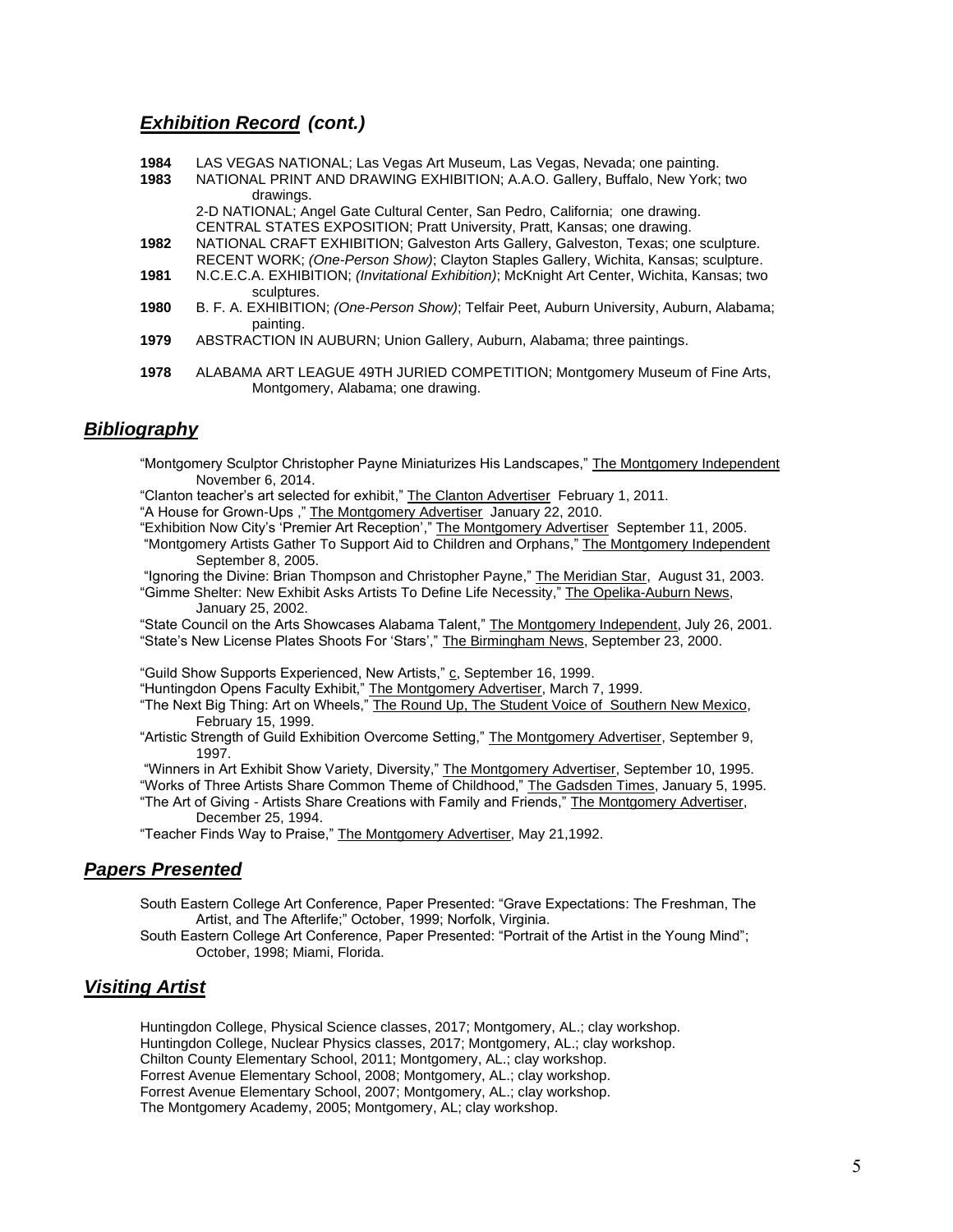- **1984** LAS VEGAS NATIONAL; Las Vegas Art Museum, Las Vegas, Nevada; one painting.
- **1983** NATIONAL PRINT AND DRAWING EXHIBITION; A.A.O. Gallery, Buffalo, New York; two drawings.

2-D NATIONAL; Angel Gate Cultural Center, San Pedro, California; one drawing. CENTRAL STATES EXPOSITION; Pratt University, Pratt, Kansas; one drawing.

- **1982** NATIONAL CRAFT EXHIBITION; Galveston Arts Gallery, Galveston, Texas; one sculpture. RECENT WORK; *(One-Person Show)*; Clayton Staples Gallery, Wichita, Kansas; sculpture.
- **1981** N.C.E.C.A. EXHIBITION; *(Invitational Exhibition)*; McKnight Art Center, Wichita, Kansas; two sculptures.
- **1980** B. F. A. EXHIBITION; *(One-Person Show)*; Telfair Peet, Auburn University, Auburn, Alabama; painting.
- **1979** ABSTRACTION IN AUBURN; Union Gallery, Auburn, Alabama; three paintings.
- **1978** ALABAMA ART LEAGUE 49TH JURIED COMPETITION; Montgomery Museum of Fine Arts, Montgomery, Alabama; one drawing.

## *Bibliography*

- "Montgomery Sculptor Christopher Payne Miniaturizes His Landscapes," The Montgomery Independent November 6, 2014.
- "Clanton teacher's art selected for exhibit," The Clanton Advertiser February 1, 2011.
- "A House for Grown-Ups ," The Montgomery Advertiser January 22, 2010.
- "Exhibition Now City's 'Premier Art Reception'," The Montgomery Advertiser September 11, 2005.
- "Montgomery Artists Gather To Support Aid to Children and Orphans," The Montgomery Independent September 8, 2005.

"Ignoring the Divine: Brian Thompson and Christopher Payne," The Meridian Star, August 31, 2003. "Gimme Shelter: New Exhibit Asks Artists To Define Life Necessity," The Opelika-Auburn News,

January 25, 2002.

"State Council on the Arts Showcases Alabama Talent," The Montgomery Independent, July 26, 2001. "State's New License Plates Shoots For 'Stars'," The Birmingham News, September 23, 2000.

"Guild Show Supports Experienced, New Artists," c, September 16, 1999.

"Huntingdon Opens Faculty Exhibit," The Montgomery Advertiser, March 7, 1999.

"The Next Big Thing: Art on Wheels," The Round Up, The Student Voice of Southern New Mexico, February 15, 1999.

"Artistic Strength of Guild Exhibition Overcome Setting," The Montgomery Advertiser, September 9, 1997.

"Winners in Art Exhibit Show Variety, Diversity," The Montgomery Advertiser, September 10, 1995. "Works of Three Artists Share Common Theme of Childhood," The Gadsden Times, January 5, 1995.

"The Art of Giving - Artists Share Creations with Family and Friends," The Montgomery Advertiser, December 25, 1994.

"Teacher Finds Way to Praise," The Montgomery Advertiser, May 21,1992.

## *Papers Presented*

South Eastern College Art Conference, Paper Presented: "Grave Expectations: The Freshman, The Artist, and The Afterlife;" October, 1999; Norfolk, Virginia.

South Eastern College Art Conference, Paper Presented: "Portrait of the Artist in the Young Mind"; October, 1998; Miami, Florida.

## *Visiting Artist*

Huntingdon College, Physical Science classes, 2017; Montgomery, AL.; clay workshop. Huntingdon College, Nuclear Physics classes, 2017; Montgomery, AL.; clay workshop. Chilton County Elementary School, 2011; Montgomery, AL.; clay workshop. Forrest Avenue Elementary School, 2008; Montgomery, AL.; clay workshop. Forrest Avenue Elementary School, 2007; Montgomery, AL.; clay workshop. The Montgomery Academy, 2005; Montgomery, AL; clay workshop.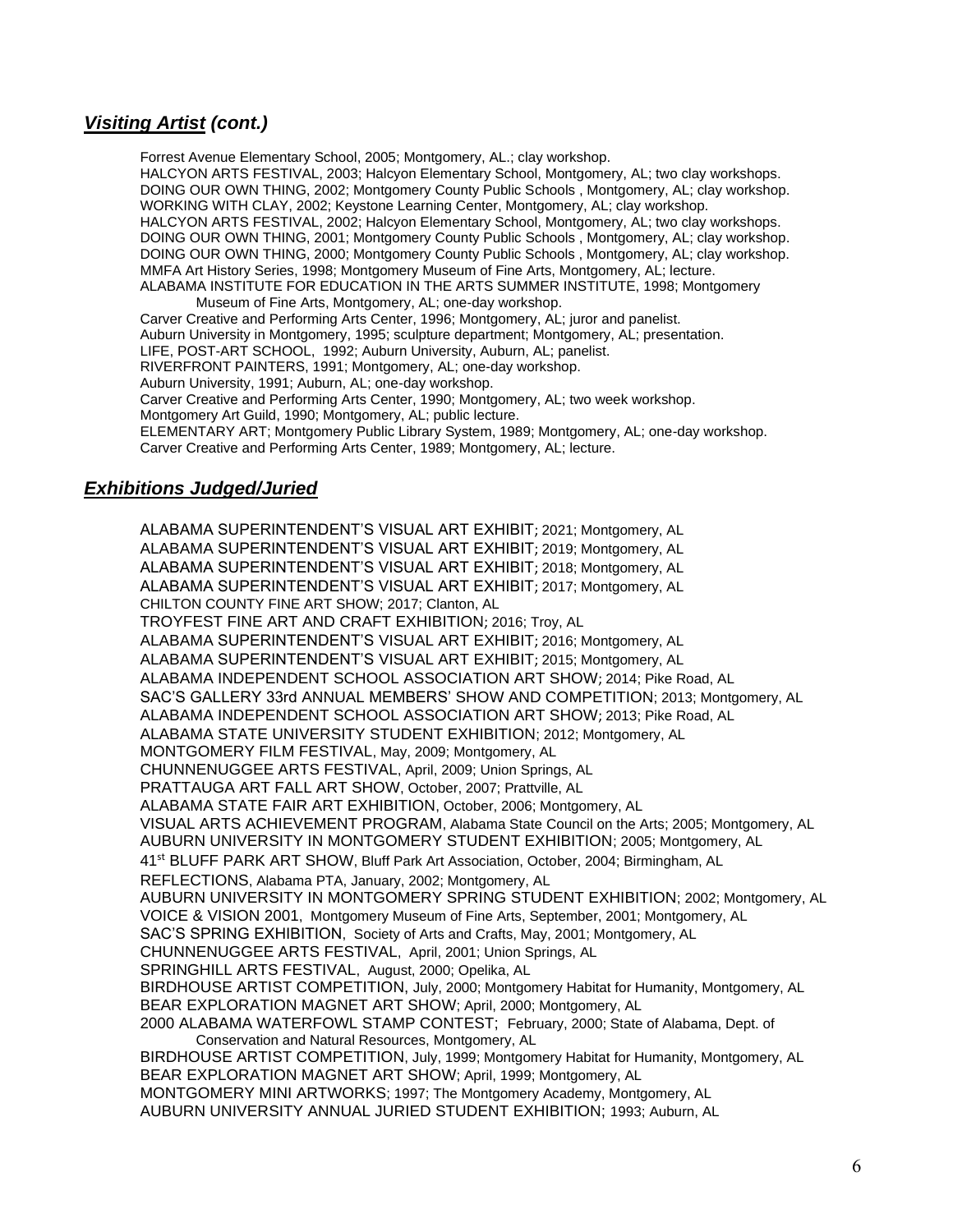## *Visiting Artist (cont.)*

Forrest Avenue Elementary School, 2005; Montgomery, AL.; clay workshop. HALCYON ARTS FESTIVAL, 2003; Halcyon Elementary School, Montgomery, AL; two clay workshops. DOING OUR OWN THING, 2002; Montgomery County Public Schools , Montgomery, AL; clay workshop. WORKING WITH CLAY, 2002; Keystone Learning Center, Montgomery, AL; clay workshop. HALCYON ARTS FESTIVAL, 2002; Halcyon Elementary School, Montgomery, AL; two clay workshops. DOING OUR OWN THING, 2001; Montgomery County Public Schools , Montgomery, AL; clay workshop. DOING OUR OWN THING, 2000; Montgomery County Public Schools , Montgomery, AL; clay workshop. MMFA Art History Series, 1998; Montgomery Museum of Fine Arts, Montgomery, AL; lecture. ALABAMA INSTITUTE FOR EDUCATION IN THE ARTS SUMMER INSTITUTE, 1998; Montgomery

Museum of Fine Arts, Montgomery, AL; one-day workshop. Carver Creative and Performing Arts Center, 1996; Montgomery, AL; juror and panelist. Auburn University in Montgomery, 1995; sculpture department; Montgomery, AL; presentation. LIFE, POST-ART SCHOOL, 1992; Auburn University, Auburn, AL; panelist. RIVERFRONT PAINTERS, 1991; Montgomery, AL; one-day workshop. Auburn University, 1991; Auburn, AL; one-day workshop. Carver Creative and Performing Arts Center, 1990; Montgomery, AL; two week workshop. Montgomery Art Guild, 1990; Montgomery, AL; public lecture. ELEMENTARY ART; Montgomery Public Library System, 1989; Montgomery, AL; one-day workshop. Carver Creative and Performing Arts Center, 1989; Montgomery, AL; lecture.

## *Exhibitions Judged/Juried*

ALABAMA SUPERINTENDENT'S VISUAL ART EXHIBIT; 2021; Montgomery, AL ALABAMA SUPERINTENDENT'S VISUAL ART EXHIBIT; 2019; Montgomery, AL ALABAMA SUPERINTENDENT'S VISUAL ART EXHIBIT; 2018; Montgomery, AL ALABAMA SUPERINTENDENT'S VISUAL ART EXHIBIT; 2017; Montgomery, AL CHILTON COUNTY FINE ART SHOW; 2017; Clanton, AL TROYFEST FINE ART AND CRAFT EXHIBITION; 2016; Troy, AL ALABAMA SUPERINTENDENT'S VISUAL ART EXHIBIT; 2016; Montgomery, AL ALABAMA SUPERINTENDENT'S VISUAL ART EXHIBIT; 2015; Montgomery, AL ALABAMA INDEPENDENT SCHOOL ASSOCIATION ART SHOW; 2014; Pike Road, AL SAC'S GALLERY 33rd ANNUAL MEMBERS' SHOW AND COMPETITION; 2013; Montgomery, AL ALABAMA INDEPENDENT SCHOOL ASSOCIATION ART SHOW; 2013; Pike Road, AL ALABAMA STATE UNIVERSITY STUDENT EXHIBITION; 2012; Montgomery, AL MONTGOMERY FILM FESTIVAL, May, 2009; Montgomery, AL CHUNNENUGGEE ARTS FESTIVAL, April, 2009; Union Springs, AL PRATTAUGA ART FALL ART SHOW, October, 2007; Prattville, AL ALABAMA STATE FAIR ART EXHIBITION, October, 2006; Montgomery, AL VISUAL ARTS ACHIEVEMENT PROGRAM, Alabama State Council on the Arts; 2005; Montgomery, AL AUBURN UNIVERSITY IN MONTGOMERY STUDENT EXHIBITION; 2005; Montgomery, AL 41<sup>st</sup> BLUFF PARK ART SHOW, Bluff Park Art Association, October, 2004; Birmingham, AL REFLECTIONS, Alabama PTA, January, 2002; Montgomery, AL AUBURN UNIVERSITY IN MONTGOMERY SPRING STUDENT EXHIBITION; 2002; Montgomery, AL VOICE & VISION 2001, Montgomery Museum of Fine Arts, September, 2001; Montgomery, AL SAC'S SPRING EXHIBITION, Society of Arts and Crafts, May, 2001; Montgomery, AL CHUNNENUGGEE ARTS FESTIVAL, April, 2001; Union Springs, AL SPRINGHILL ARTS FESTIVAL, August, 2000; Opelika, AL BIRDHOUSE ARTIST COMPETITION, July, 2000; Montgomery Habitat for Humanity, Montgomery, AL BEAR EXPLORATION MAGNET ART SHOW; April, 2000; Montgomery, AL 2000 ALABAMA WATERFOWL STAMP CONTEST; February, 2000; State of Alabama, Dept. of Conservation and Natural Resources, Montgomery, AL BIRDHOUSE ARTIST COMPETITION, July, 1999; Montgomery Habitat for Humanity, Montgomery, AL BEAR EXPLORATION MAGNET ART SHOW; April, 1999; Montgomery, AL MONTGOMERY MINI ARTWORKS; 1997; The Montgomery Academy, Montgomery, AL AUBURN UNIVERSITY ANNUAL JURIED STUDENT EXHIBITION; 1993; Auburn, AL